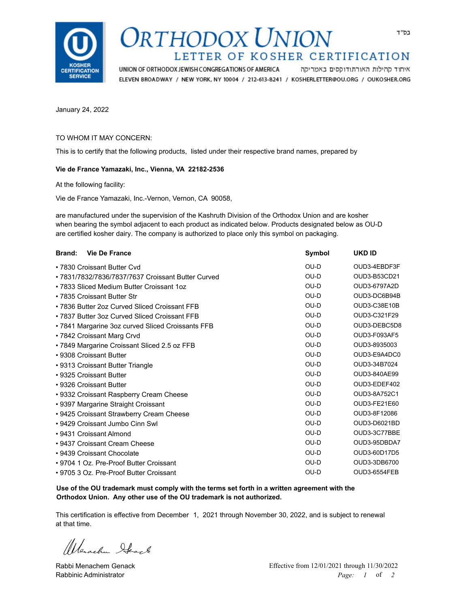

## DRTHODOX UNION LETTER OF KOSHER CERTIFICATION

UNION OF ORTHODOX JEWISH CONGREGATIONS OF AMERICA איחוד קהילות האורתודוקסים באמריקה ELEVEN BROADWAY / NEW YORK, NY 10004 / 212-613-8241 / KOSHERLETTER@OU.ORG / OUKOSHER.ORG

January 24, 2022

## TO WHOM IT MAY CONCERN:

This is to certify that the following products, listed under their respective brand names, prepared by

## **Vie de France Yamazaki, Inc., Vienna, VA 22182-2536**

At the following facility:

Vie de France Yamazaki, Inc.-Vernon, Vernon, CA 90058,

are manufactured under the supervision of the Kashruth Division of the Orthodox Union and are kosher when bearing the symbol adjacent to each product as indicated below. Products designated below as OU-D are certified kosher dairy. The company is authorized to place only this symbol on packaging.

| <b>Vie De France</b><br><b>Brand:</b>              | Symbol | UKD ID              |
|----------------------------------------------------|--------|---------------------|
| • 7830 Croissant Butter Cvd                        | OU-D   | OUD3-4EBDF3F        |
| • 7831/7832/7836/7837/7637 Croissant Butter Curved | OU-D   | OUD3-B53CD21        |
| • 7833 Sliced Medium Butter Croissant 1oz          | $OU-D$ | OUD3-6797A2D        |
| • 7835 Croissant Butter Str                        | OU-D   | OUD3-DC6B94B        |
| • 7836 Butter 2oz Curved Sliced Croissant FFB      | OU-D   | OUD3-C38E10B        |
| • 7837 Butter 3oz Curved Sliced Croissant FFB      | OU-D   | OUD3-C321F29        |
| • 7841 Margarine 3oz curved Sliced Croissants FFB  | $OU-D$ | OUD3-DEBC5D8        |
| • 7842 Croissant Marg Crvd                         | OU-D   | OUD3-F093AF5        |
| • 7849 Margarine Croissant Sliced 2.5 oz FFB       | OU-D   | OUD3-8935003        |
| • 9308 Croissant Butter                            | $OU-D$ | OUD3-E9A4DC0        |
| • 9313 Croissant Butter Triangle                   | $OU-D$ | OUD3-34B7024        |
| • 9325 Croissant Butter                            | $OU-D$ | OUD3-840AE99        |
| • 9326 Croissant Butter                            | OU-D   | OUD3-EDEF402        |
| • 9332 Croissant Raspberry Cream Cheese            | OU-D   | OUD3-8A752C1        |
| • 9397 Margarine Straight Croissant                | $OU-D$ | OUD3-FE21E60        |
| • 9425 Croissant Strawberry Cream Cheese           | OU-D   | OUD3-8F12086        |
| • 9429 Croissant Jumbo Cinn Swl                    | $OU-D$ | OUD3-D6021BD        |
| • 9431 Croissant Almond                            | OU-D   | OUD3-3C77BBE        |
| • 9437 Croissant Cream Cheese                      | OU-D   | OUD3-95DBDA7        |
| • 9439 Croissant Chocolate                         | OU-D   | OUD3-60D17D5        |
| • 9704 1 Oz. Pre-Proof Butter Croissant            | OU-D   | OUD3-3DB6700        |
| • 9705 3 Oz. Pre-Proof Butter Croissant            | OU-D   | <b>OUD3-6554FEB</b> |

**Use of the OU trademark must comply with the terms set forth in a written agreement with the Orthodox Union. Any other use of the OU trademark is not authorized.**

This certification is effective from December 1, 2021 through November 30, 2022, and is subject to renewal at that time.

Werschen Heart

Rabbi Menachem Genack Rabbinic Administrator